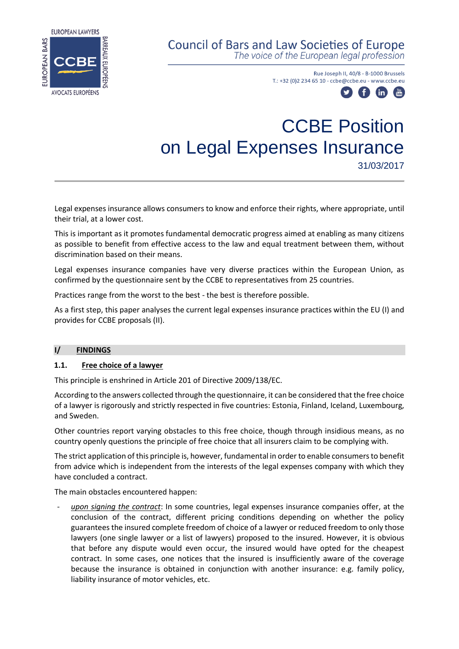

# **Council of Bars and Law Societies of Europe**

The voice of the European legal profession

Rue Joseph II, 40/8 - B-1000 Brussels T.: +32 (0)2 234 65 10 - ccbe@ccbe.eu - www.ccbe.eu



# **CCBE Position** on Legal Expenses Insurance 31/03/2017

Legal expenses insurance allows consumers to know and enforce their rights, where appropriate, until their trial, at a lower cost.

This is important as it promotes fundamental democratic progress aimed at enabling as many citizens as possible to benefit from effective access to the law and equal treatment between them, without discrimination based on their means.

Legal expenses insurance companies have very diverse practices within the European Union, as confirmed by the questionnaire sent by the CCBE to representatives from 25 countries.

Practices range from the worst to the best - the best is therefore possible.

As a first step, this paper analyses the current legal expenses insurance practices within the EU (I) and provides for CCBE proposals (II).

#### **I/ FINDINGS**

#### **1.1. Free choice of a lawyer**

This principle is enshrined in Article 201 of Directive 2009/138/EC.

According to the answers collected through the questionnaire, it can be considered that the free choice of a lawyer is rigorously and strictly respected in five countries: Estonia, Finland, Iceland, Luxembourg, and Sweden.

Other countries report varying obstacles to this free choice, though through insidious means, as no country openly questions the principle of free choice that all insurers claim to be complying with.

The strict application of this principle is, however, fundamental in order to enable consumers to benefit from advice which is independent from the interests of the legal expenses company with which they have concluded a contract.

The main obstacles encountered happen:

upon signing the contract: In some countries, legal expenses insurance companies offer, at the conclusion of the contract, different pricing conditions depending on whether the policy guarantees the insured complete freedom of choice of a lawyer or reduced freedom to only those lawyers (one single lawyer or a list of lawyers) proposed to the insured. However, it is obvious that before any dispute would even occur, the insured would have opted for the cheapest contract. In some cases, one notices that the insured is insufficiently aware of the coverage because the insurance is obtained in conjunction with another insurance: e.g. family policy, liability insurance of motor vehicles, etc.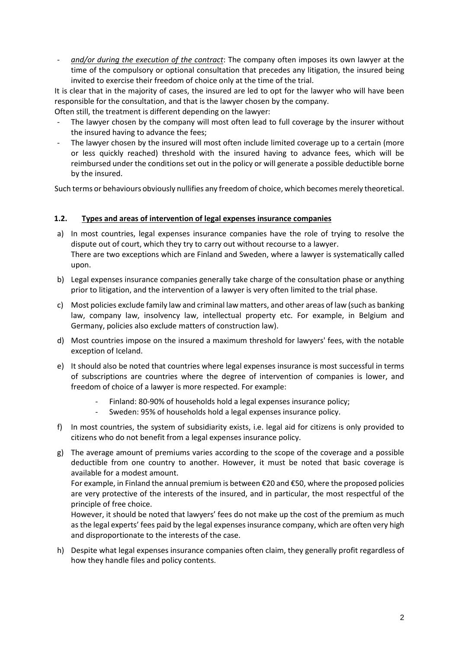and/or during the execution of the contract: The company often imposes its own lawyer at the time of the compulsory or optional consultation that precedes any litigation, the insured being invited to exercise their freedom of choice only at the time of the trial.

It is clear that in the majority of cases, the insured are led to opt for the lawyer who will have been responsible for the consultation, and that is the lawyer chosen by the company.

Often still, the treatment is different depending on the lawyer:

- The lawyer chosen by the company will most often lead to full coverage by the insurer without the insured having to advance the fees;
- The lawyer chosen by the insured will most often include limited coverage up to a certain (more or less quickly reached) threshold with the insured having to advance fees, which will be reimbursed under the conditions set out in the policy or will generate a possible deductible borne by the insured.

Such terms or behaviours obviously nullifies any freedom of choice, which becomes merely theoretical.

## **1.2. Types and areas of intervention of legal expenses insurance companies**

- a) In most countries, legal expenses insurance companies have the role of trying to resolve the dispute out of court, which they try to carry out without recourse to a lawyer. There are two exceptions which are Finland and Sweden, where a lawyer is systematically called upon.
- b) Legal expenses insurance companies generally take charge of the consultation phase or anything prior to litigation, and the intervention of a lawyer is very often limited to the trial phase.
- c) Most policies exclude family law and criminal law matters, and other areas of law (such as banking law, company law, insolvency law, intellectual property etc. For example, in Belgium and Germany, policies also exclude matters of construction law).
- d) Most countries impose on the insured a maximum threshold for lawyers' fees, with the notable exception of Iceland.
- e) It should also be noted that countries where legal expenses insurance is most successful in terms of subscriptions are countries where the degree of intervention of companies is lower, and freedom of choice of a lawyer is more respected. For example:
	- Finland: 80-90% of households hold a legal expenses insurance policy;
	- Sweden: 95% of households hold a legal expenses insurance policy.
- f) In most countries, the system of subsidiarity exists, i.e. legal aid for citizens is only provided to citizens who do not benefit from a legal expenses insurance policy.
- g) The average amount of premiums varies according to the scope of the coverage and a possible deductible from one country to another. However, it must be noted that basic coverage is available for a modest amount.

For example, in Finland the annual premium is between €20 and €50, where the proposed policies are very protective of the interests of the insured, and in particular, the most respectful of the principle of free choice.

However, it should be noted that lawyers' fees do not make up the cost of the premium as much as the legal experts' fees paid by the legal expenses insurance company, which are often very high and disproportionate to the interests of the case.

h) Despite what legal expenses insurance companies often claim, they generally profit regardless of how they handle files and policy contents.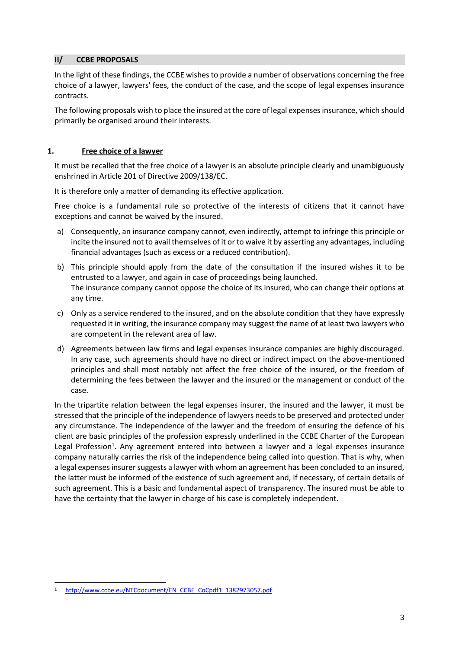## **II/ CCBE PROPOSALS**

In the light of these findings, the CCBE wishes to provide a number of observations concerning the free choice of a lawyer, lawyers' fees, the conduct of the case, and the scope of legal expenses insurance contracts.

The following proposals wish to place the insured at the core of legal expenses insurance, which should primarily be organised around their interests.

## **1. Free choice of a lawyer**

It must be recalled that the free choice of a lawyer is an absolute principle clearly and unambiguously enshrined in Article 201 of Directive 2009/138/EC.

It is therefore only a matter of demanding its effective application.

Free choice is a fundamental rule so protective of the interests of citizens that it cannot have exceptions and cannot be waived by the insured.

- a) Consequently, an insurance company cannot, even indirectly, attempt to infringe this principle or incite the insured not to avail themselves of it or to waive it by asserting any advantages, including financial advantages (such as excess or a reduced contribution).
- b) This principle should apply from the date of the consultation if the insured wishes it to be entrusted to a lawyer, and again in case of proceedings being launched. The insurance company cannot oppose the choice of its insured, who can change their options at any time.
- c) Only as a service rendered to the insured, and on the absolute condition that they have expressly requested it in writing, the insurance company may suggest the name of at least two lawyers who are competent in the relevant area of law.
- d) Agreements between law firms and legal expenses insurance companies are highly discouraged. In any case, such agreements should have no direct or indirect impact on the above-mentioned principles and shall most notably not affect the free choice of the insured, or the freedom of determining the fees between the lawyer and the insured or the management or conduct of the case.

In the tripartite relation between the legal expenses insurer, the insured and the lawyer, it must be stressed that the principle of the independence of lawyers needs to be preserved and protected under any circumstance. The independence of the lawyer and the freedom of ensuring the defence of his client are basic principles of the profession expressly underlined in the CCBE Charter of the European Legal Profession<sup>1</sup>. Any agreement entered into between a lawyer and a legal expenses insurance company naturally carries the risk of the independence being called into question. That is why, when a legal expenses insurer suggests a lawyer with whom an agreement has been concluded to an insured, the latter must be informed of the existence of such agreement and, if necessary, of certain details of such agreement. This is a basic and fundamental aspect of transparency. The insured must be able to have the certainty that the lawyer in charge of his case is completely independent.

[http://www.ccbe.eu/NTCdocument/EN\\_CCBE\\_CoCpdf1\\_1382973057.pdf](http://www.ccbe.eu/NTCdocument/EN_CCBE_CoCpdf1_1382973057.pdf)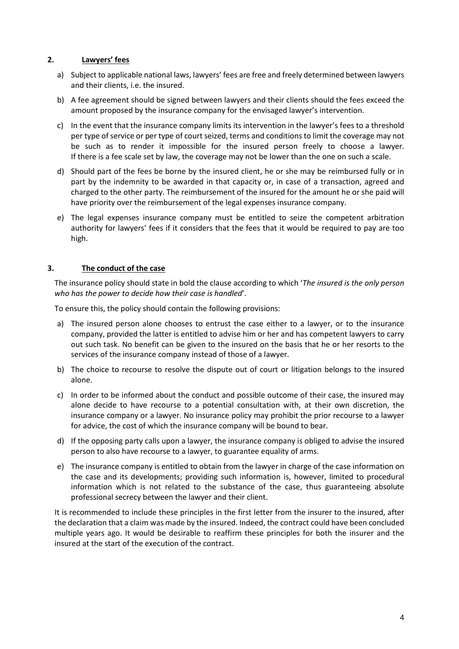#### **2. Lawyers' fees**

- a) Subject to applicable national laws, lawyers' fees are free and freely determined between lawyers and their clients, i.e. the insured.
- b) A fee agreement should be signed between lawyers and their clients should the fees exceed the amount proposed by the insurance company for the envisaged lawyer's intervention.
- c) In the event that the insurance company limits its intervention in the lawyer's fees to a threshold per type of service or per type of court seized, terms and conditions to limit the coverage may not be such as to render it impossible for the insured person freely to choose a lawyer. If there is a fee scale set by law, the coverage may not be lower than the one on such a scale.
- d) Should part of the fees be borne by the insured client, he or she may be reimbursed fully or in part by the indemnity to be awarded in that capacity or, in case of a transaction, agreed and charged to the other party. The reimbursement of the insured for the amount he or she paid will have priority over the reimbursement of the legal expenses insurance company.
- e) The legal expenses insurance company must be entitled to seize the competent arbitration authority for lawyers' fees if it considers that the fees that it would be required to pay are too high.

#### **3. The conduct of the case**

The insurance policy should state in bold the clause according to which '*The insured is the only person who has the power to decide how their case is handled*'.

To ensure this, the policy should contain the following provisions:

- a) The insured person alone chooses to entrust the case either to a lawyer, or to the insurance company, provided the latter is entitled to advise him or her and has competent lawyers to carry out such task. No benefit can be given to the insured on the basis that he or her resorts to the services of the insurance company instead of those of a lawyer.
- b) The choice to recourse to resolve the dispute out of court or litigation belongs to the insured alone.
- c) In order to be informed about the conduct and possible outcome of their case, the insured may alone decide to have recourse to a potential consultation with, at their own discretion, the insurance company or a lawyer. No insurance policy may prohibit the prior recourse to a lawyer for advice, the cost of which the insurance company will be bound to bear.
- d) If the opposing party calls upon a lawyer, the insurance company is obliged to advise the insured person to also have recourse to a lawyer, to guarantee equality of arms.
- e) The insurance company is entitled to obtain from the lawyer in charge of the case information on the case and its developments; providing such information is, however, limited to procedural information which is not related to the substance of the case, thus guaranteeing absolute professional secrecy between the lawyer and their client.

It is recommended to include these principles in the first letter from the insurer to the insured, after the declaration that a claim was made by the insured. Indeed, the contract could have been concluded multiple years ago. It would be desirable to reaffirm these principles for both the insurer and the insured at the start of the execution of the contract.